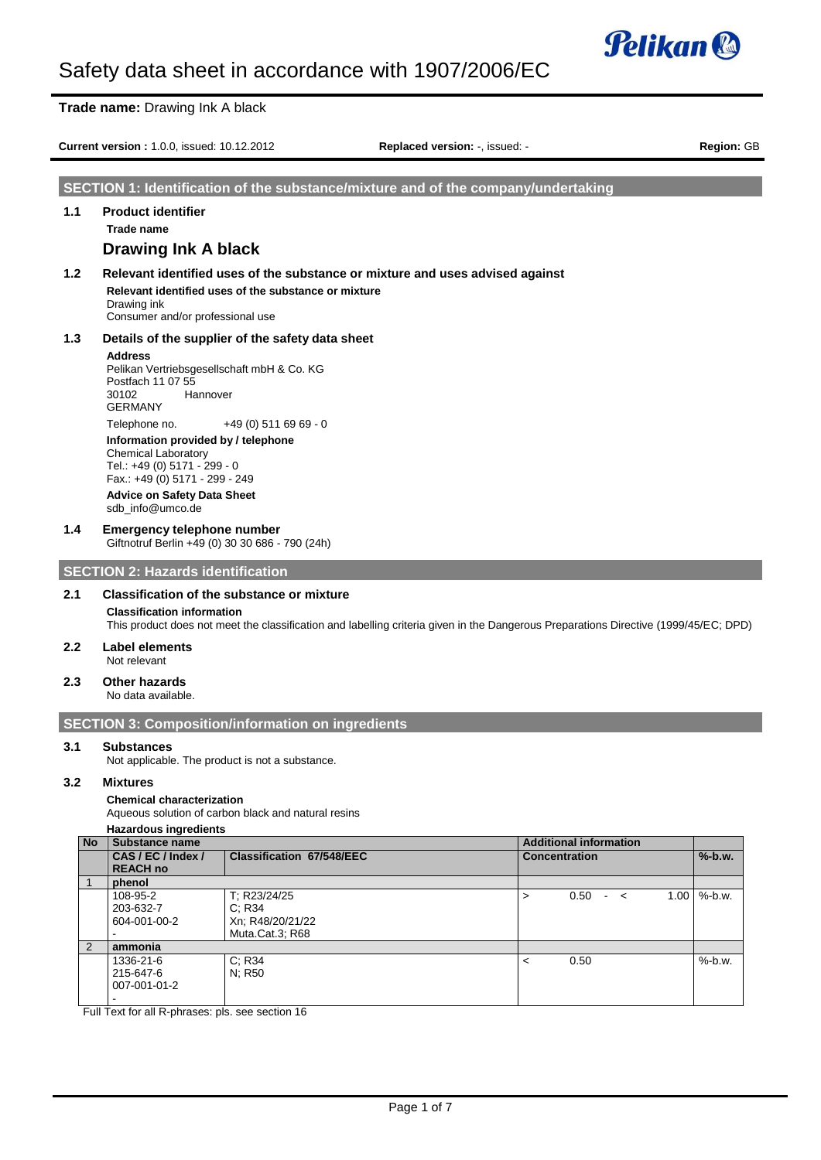

**Trade name:** Drawing Ink A black **Current version :** 1.0.0, issued: 10.12.2012 **Replaced version:** -, issued: - **Region:** GB **SECTION 1: Identification of the substance/mixture and of the company/undertaking 1.1 Product identifier Trade name Drawing Ink A black 1.2 Relevant identified uses of the substance or mixture and uses advised against Relevant identified uses of the substance or mixture** Drawing ink Consumer and/or professional use **1.3 Details of the supplier of the safety data sheet Address** Pelikan Vertriebsgesellschaft mbH & Co. KG Postfach 11 07 55 30102 Hannover GERMANY Telephone no. +49 (0) 511 69 69 - 0 **Information provided by / telephone** Chemical Laboratory Tel.: +49 (0) 5171 - 299 - 0 Fax.: +49 (0) 5171 - 299 - 249 **Advice on Safety Data Sheet** sdb\_info@umco.de **1.4 Emergency telephone number** Giftnotruf Berlin +49 (0) 30 30 686 - 790 (24h) **SECTION 2: Hazards identification 2.1 Classification of the substance or mixture Classification information** This product does not meet the classification and labelling criteria given in the Dangerous Preparations Directive (1999/45/EC; DPD) **2.2 Label elements** Not relevant **2.3 Other hazards** No data available. **SECTION 3: Composition/information on ingredients 3.1 Substances** Not applicable. The product is not a substance.

## **3.2 Mixtures**

### **Chemical characterization**

Aqueous solution of carbon black and natural resins

#### **Hazardous ingredients**

| <b>No</b>     | <b>Substance name</b>                       |                                                               | <b>Additional information</b> |      |               |  |      |           |
|---------------|---------------------------------------------|---------------------------------------------------------------|-------------------------------|------|---------------|--|------|-----------|
|               | CAS / EC / Index /                          | <b>Classification 67/548/EEC</b>                              | <b>Concentration</b>          |      |               |  |      | $%$ -b.w. |
|               | <b>REACH no</b>                             |                                                               |                               |      |               |  |      |           |
|               | phenol                                      |                                                               |                               |      |               |  |      |           |
|               | 108-95-2<br>203-632-7<br>604-001-00-2       | T; R23/24/25<br>C: R34<br>Xn; R48/20/21/22<br>Muta.Cat.3; R68 | ⋗                             | 0.50 | $\sim$ $\leq$ |  | 1.00 | $%$ -b.w. |
| $\mathcal{P}$ | ammonia                                     |                                                               |                               |      |               |  |      |           |
|               | 1336-21-6<br>215-647-6<br>007-001-01-2<br>- | C: R34<br>N: R50                                              | ≺                             | 0.50 |               |  |      | $%$ -b.w. |

Full Text for all R-phrases: pls. see section 16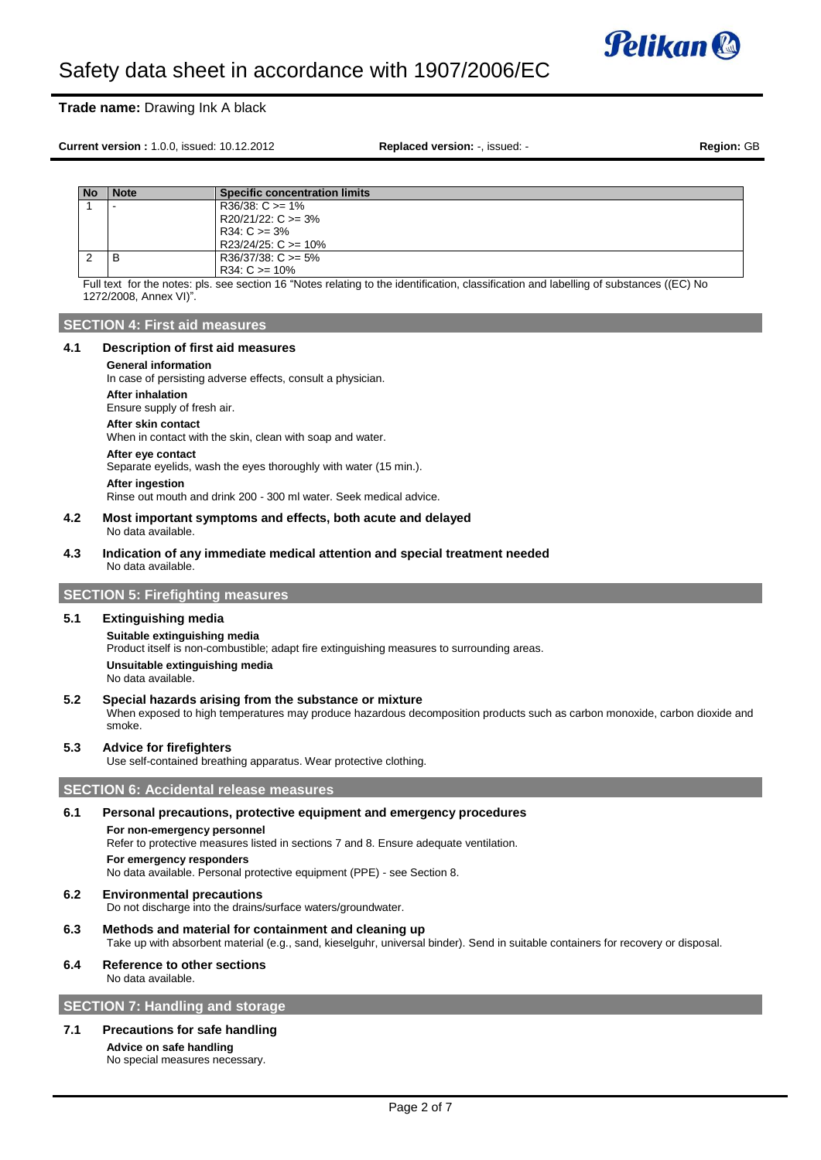

# **Trade name:** Drawing Ink A black

**Current version :** 1.0.0, issued: 10.12.2012 **Replaced version:** -, issued: - **Region:** GB

| .No | <b>Note</b> | <b>Specific concentration limits</b> |
|-----|-------------|--------------------------------------|
|     |             | $R36/38$ : C $>= 1\%$                |
|     |             | $R20/21/22$ : C $>= 3\%$             |
|     |             | $R34: C \ge 3\%$                     |
|     |             | $R23/24/25$ : C $>= 10\%$            |
| ∼   | в           | $R36/37/38$ : C $>= 5\%$             |
|     |             | $R34: C \ge 10\%$                    |

Full text for the notes: pls. see section 16 "Notes relating to the identification, classification and labelling of substances ((EC) No 1272/2008, Annex VI)".

# **SECTION 4: First aid measures**

## **4.1 Description of first aid measures**

#### **General information**

In case of persisting adverse effects, consult a physician.

**After inhalation**

Ensure supply of fresh air.

**After skin contact**

When in contact with the skin, clean with soap and water.

### **After eye contact**

Separate eyelids, wash the eyes thoroughly with water (15 min.).

**After ingestion**

Rinse out mouth and drink 200 - 300 ml water. Seek medical advice.

- **4.2 Most important symptoms and effects, both acute and delayed** No data available.
- **4.3 Indication of any immediate medical attention and special treatment needed** No data available.

# **SECTION 5: Firefighting measures**

## **5.1 Extinguishing media**

**Suitable extinguishing media** Product itself is non-combustible; adapt fire extinguishing measures to surrounding areas. **Unsuitable extinguishing media**

No data available.

## **5.2 Special hazards arising from the substance or mixture**

When exposed to high temperatures may produce hazardous decomposition products such as carbon monoxide, carbon dioxide and smoke.

# **5.3 Advice for firefighters**

Use self-contained breathing apparatus. Wear protective clothing.

## **SECTION 6: Accidental release measures**

## **6.1 Personal precautions, protective equipment and emergency procedures**

## **For non-emergency personnel**

Refer to protective measures listed in sections 7 and 8. Ensure adequate ventilation.

#### **For emergency responders**

No data available. Personal protective equipment (PPE) - see Section 8.

- **6.2 Environmental precautions** Do not discharge into the drains/surface waters/groundwater.
- **6.3 Methods and material for containment and cleaning up** Take up with absorbent material (e.g., sand, kieselguhr, universal binder). Send in suitable containers for recovery or disposal.
- **6.4 Reference to other sections** No data available.

# **SECTION 7: Handling and storage**

# **7.1 Precautions for safe handling**

**Advice on safe handling** No special measures necessary.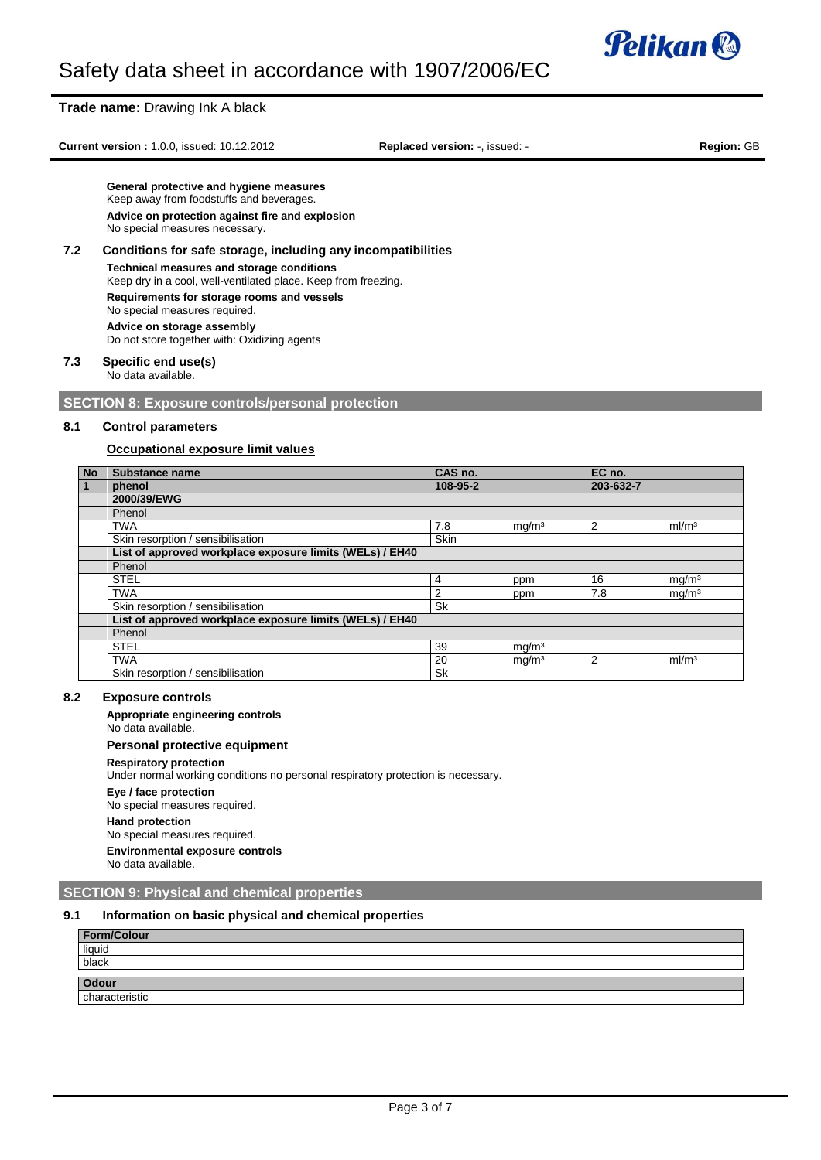

## **Trade name:** Drawing Ink A black

**Current version :** 1.0.0, issued: 10.12.2012 **Replaced version:** -, issued: - **Region:** GB

**General protective and hygiene measures** Keep away from foodstuffs and beverages. **Advice on protection against fire and explosion** No special measures necessary.

**7.2 Conditions for safe storage, including any incompatibilities Technical measures and storage conditions** Keep dry in a cool, well-ventilated place. Keep from freezing. **Requirements for storage rooms and vessels** No special measures required. **Advice on storage assembly** Do not store together with: Oxidizing agents

## **7.3 Specific end use(s)** No data available.

**SECTION 8: Exposure controls/personal protection**

## **8.1 Control parameters**

# **Occupational exposure limit values**

| <b>No</b>    | Substance name                                           | CAS no.   |                   | EC no.    |                   |
|--------------|----------------------------------------------------------|-----------|-------------------|-----------|-------------------|
| $\mathbf{1}$ | phenol                                                   | 108-95-2  |                   | 203-632-7 |                   |
|              | 2000/39/EWG                                              |           |                   |           |                   |
|              | Phenol                                                   |           |                   |           |                   |
|              | <b>TWA</b>                                               | 7.8       | mg/m <sup>3</sup> | 2         | ml/m <sup>3</sup> |
|              | Skin resorption / sensibilisation                        | Skin      |                   |           |                   |
|              | List of approved workplace exposure limits (WELs) / EH40 |           |                   |           |                   |
|              | Phenol                                                   |           |                   |           |                   |
|              | <b>STEL</b>                                              | 4         | ppm               | 16        | mg/m <sup>3</sup> |
|              | <b>TWA</b>                                               | 2         | ppm               | 7.8       | mq/m <sup>3</sup> |
|              | Skin resorption / sensibilisation                        | <b>Sk</b> |                   |           |                   |
|              | List of approved workplace exposure limits (WELs) / EH40 |           |                   |           |                   |
|              | Phenol                                                   |           |                   |           |                   |
|              | <b>STEL</b>                                              | 39        | mg/m <sup>3</sup> |           |                   |
|              | <b>TWA</b>                                               | 20        | mg/m <sup>3</sup> | 2         | ml/m <sup>3</sup> |
|              | Skin resorption / sensibilisation                        | Sk        |                   |           |                   |

## **8.2 Exposure controls**

**Appropriate engineering controls**

No data available.

## **Personal protective equipment**

**Respiratory protection**

Under normal working conditions no personal respiratory protection is necessary.

**Eye / face protection**

No special measures required.

# **Hand protection**

No special measures required.

**Environmental exposure controls**

No data available.

# **SECTION 9: Physical and chemical properties**

# **9.1 Information on basic physical and chemical properties**

| Form/Colour    |  |
|----------------|--|
| liquid         |  |
| black          |  |
|                |  |
| Odour          |  |
| characteristic |  |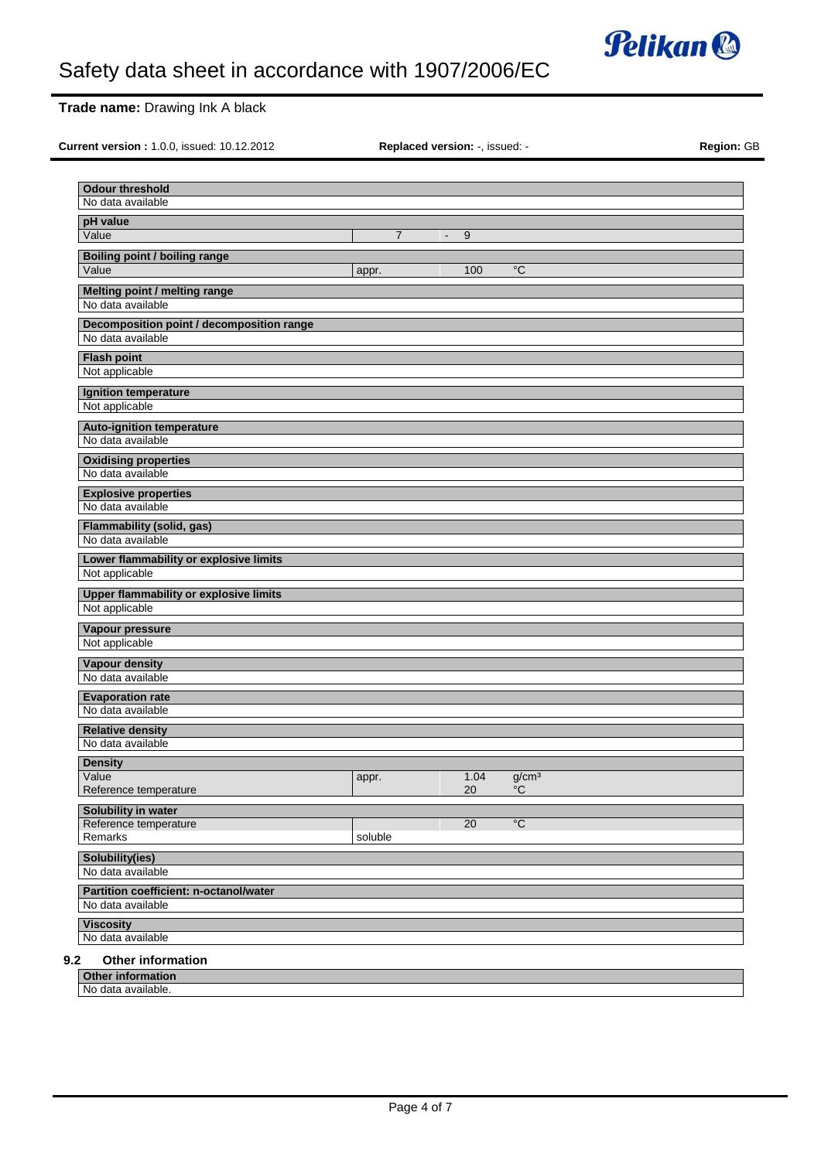

# **Trade name:** Drawing Ink A black

**Current version :** 1.0.0, issued: 10.12.2012 **Replaced version:** -, issued: - **Region:** GB

|  |  | <b>Replaced version: -, issued: -</b> |
|--|--|---------------------------------------|
|--|--|---------------------------------------|

| No data available                                              |                |                     |                   |  |  |
|----------------------------------------------------------------|----------------|---------------------|-------------------|--|--|
| pH value<br>Value                                              | $\overline{7}$ |                     |                   |  |  |
|                                                                |                | 9<br>$\blacksquare$ |                   |  |  |
| <b>Boiling point / boiling range</b><br>Value                  |                |                     |                   |  |  |
|                                                                | appr.          | 100                 | $\overline{c}$    |  |  |
| Melting point / melting range                                  |                |                     |                   |  |  |
| No data available                                              |                |                     |                   |  |  |
| Decomposition point / decomposition range<br>No data available |                |                     |                   |  |  |
|                                                                |                |                     |                   |  |  |
| <b>Flash point</b><br>Not applicable                           |                |                     |                   |  |  |
| Ignition temperature                                           |                |                     |                   |  |  |
| Not applicable                                                 |                |                     |                   |  |  |
| <b>Auto-ignition temperature</b>                               |                |                     |                   |  |  |
| No data available                                              |                |                     |                   |  |  |
| <b>Oxidising properties</b>                                    |                |                     |                   |  |  |
| No data available                                              |                |                     |                   |  |  |
| <b>Explosive properties</b>                                    |                |                     |                   |  |  |
| No data available                                              |                |                     |                   |  |  |
| Flammability (solid, gas)                                      |                |                     |                   |  |  |
| No data available                                              |                |                     |                   |  |  |
| Lower flammability or explosive limits                         |                |                     |                   |  |  |
| Not applicable                                                 |                |                     |                   |  |  |
| Upper flammability or explosive limits                         |                |                     |                   |  |  |
| Not applicable                                                 |                |                     |                   |  |  |
| Vapour pressure                                                |                |                     |                   |  |  |
| Not applicable                                                 |                |                     |                   |  |  |
| Vapour density                                                 |                |                     |                   |  |  |
| No data available                                              |                |                     |                   |  |  |
| <b>Evaporation rate</b><br>No data available                   |                |                     |                   |  |  |
|                                                                |                |                     |                   |  |  |
| <b>Relative density</b><br>No data available                   |                |                     |                   |  |  |
| <b>Density</b>                                                 |                |                     |                   |  |  |
| Value                                                          | appr.          | 1.04                | g/cm <sup>3</sup> |  |  |
| Reference temperature                                          |                | 20                  | °C                |  |  |
| Solubility in water                                            |                |                     |                   |  |  |
| Reference temperature                                          |                | 20                  | $\overline{C}$    |  |  |
| Remarks                                                        | soluble        |                     |                   |  |  |
| Solubility(ies)                                                |                |                     |                   |  |  |
| No data available                                              |                |                     |                   |  |  |
| Partition coefficient: n-octanol/water<br>No data available    |                |                     |                   |  |  |
|                                                                |                |                     |                   |  |  |
|                                                                |                |                     |                   |  |  |
| <b>Viscosity</b><br>No data available                          |                |                     |                   |  |  |

No data available.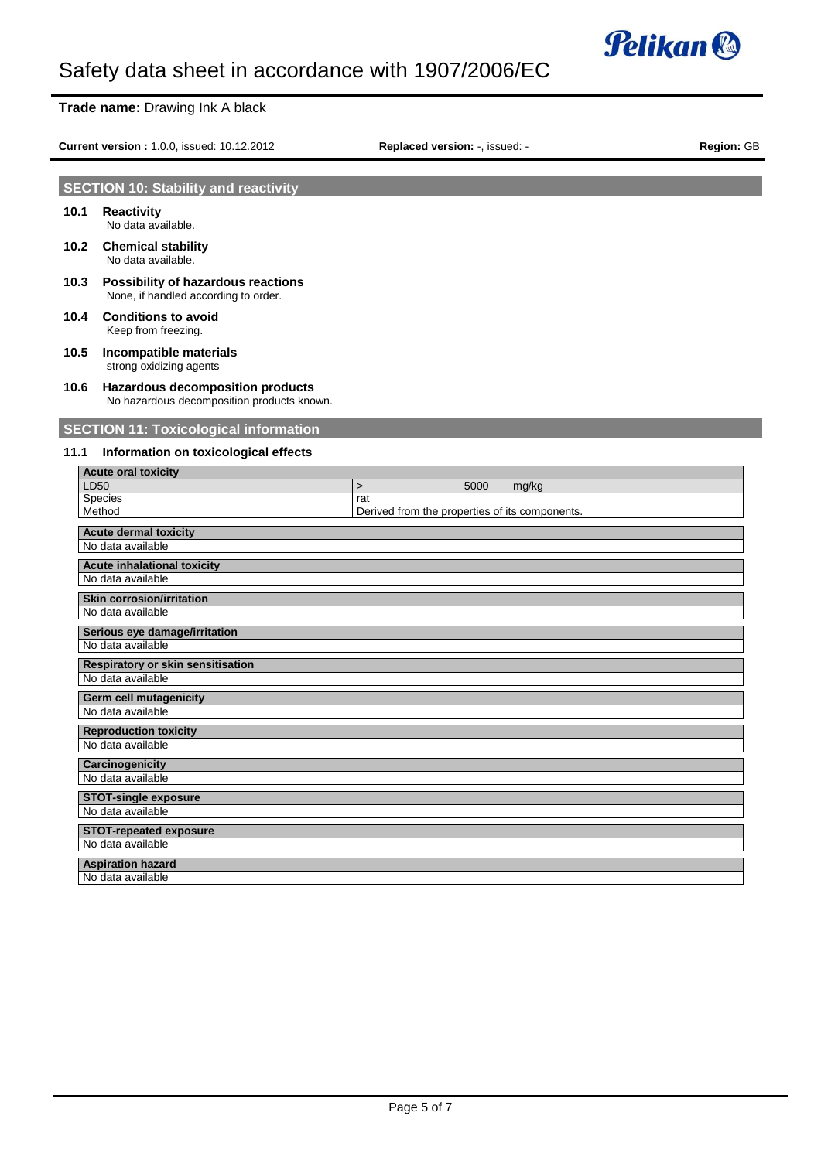

# **Trade name:** Drawing Ink A black

**Current version :** 1.0.0, issued: 10.12.2012 **Replaced version:** -, issued: - **Region:** GB

# **SECTION 10: Stability and reactivity**

- **10.1 Reactivity** No data available.
- **10.2 Chemical stability** No data available.
- **10.3 Possibility of hazardous reactions** None, if handled according to order.
- **10.4 Conditions to avoid** Keep from freezing.
- **10.5 Incompatible materials** strong oxidizing agents
- **10.6 Hazardous decomposition products** No hazardous decomposition products known.

# **SECTION 11: Toxicological information**

## **11.1 Information on toxicological effects**

| <b>Acute oral toxicity</b>               |                                                |
|------------------------------------------|------------------------------------------------|
| <b>LD50</b>                              | 5000<br>mg/kg<br>$\geq$                        |
| Species                                  | rat                                            |
| Method                                   | Derived from the properties of its components. |
| <b>Acute dermal toxicity</b>             |                                                |
| No data available                        |                                                |
| <b>Acute inhalational toxicity</b>       |                                                |
| No data available                        |                                                |
| <b>Skin corrosion/irritation</b>         |                                                |
| No data available                        |                                                |
| Serious eye damage/irritation            |                                                |
| No data available                        |                                                |
| <b>Respiratory or skin sensitisation</b> |                                                |
| No data available                        |                                                |
| <b>Germ cell mutagenicity</b>            |                                                |
| No data available                        |                                                |
| <b>Reproduction toxicity</b>             |                                                |
| No data available                        |                                                |
| Carcinogenicity                          |                                                |
| No data available                        |                                                |
| <b>STOT-single exposure</b>              |                                                |
| No data available                        |                                                |
| <b>STOT-repeated exposure</b>            |                                                |
| No data available                        |                                                |
| <b>Aspiration hazard</b>                 |                                                |
| No data available                        |                                                |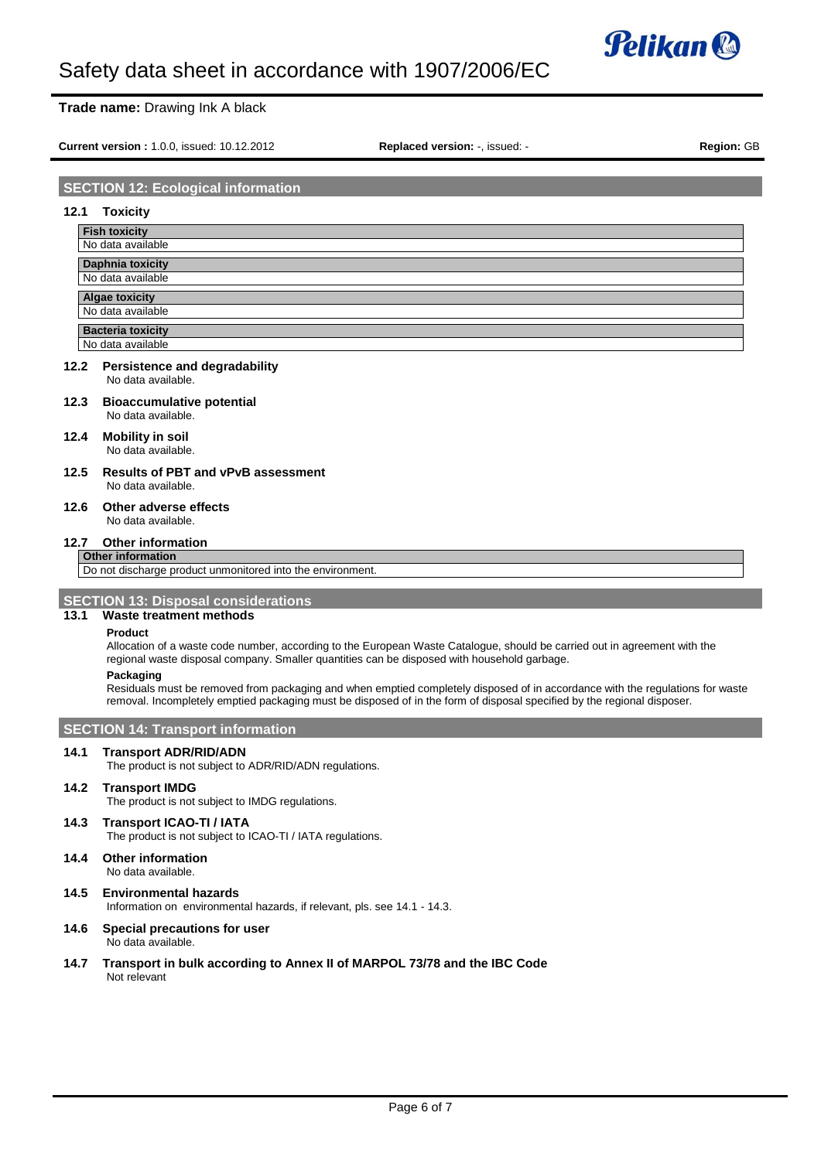

# **Trade name:** Drawing Ink A black

**Current version :** 1.0.0, issued: 10.12.2012 **Replaced version:** -, issued: - **Region:** GB

# **SECTION 12: Ecological information**

## **12.1 Toxicity**

| <b>Fish toxicity</b>                          |  |
|-----------------------------------------------|--|
| No data available                             |  |
| <b>Daphnia toxicity</b>                       |  |
| No data available                             |  |
|                                               |  |
|                                               |  |
| <b>Algae toxicity</b><br>No data available    |  |
| <b>Bacteria toxicity</b><br>No data available |  |

#### **12.2 Persistence and degradability** No data available.

#### **12.3 Bioaccumulative potential** No data available.

- **12.4 Mobility in soil** No data available.
- **12.5 Results of PBT and vPvB assessment** No data available.

#### **12.6 Other adverse effects** No data available.

# **12.7 Other information**

**Other information**

Do not discharge product unmonitored into the environment.

## **SECTION 13: Disposal considerations**

# **13.1 Waste treatment methods**

## **Product**

Allocation of a waste code number, according to the European Waste Catalogue, should be carried out in agreement with the regional waste disposal company. Smaller quantities can be disposed with household garbage.

## **Packaging**

Residuals must be removed from packaging and when emptied completely disposed of in accordance with the regulations for waste removal. Incompletely emptied packaging must be disposed of in the form of disposal specified by the regional disposer.

# **SECTION 14: Transport information**

## **14.1 Transport ADR/RID/ADN**

The product is not subject to ADR/RID/ADN regulations.

## **14.2 Transport IMDG**

The product is not subject to IMDG regulations.

## **14.3 Transport ICAO-TI / IATA**

The product is not subject to ICAO-TI / IATA regulations.

**14.4 Other information**

No data available.

**14.5 Environmental hazards**

Information on environmental hazards, if relevant, pls. see 14.1 - 14.3.

### **14.6 Special precautions for user** No data available.

**14.7 Transport in bulk according to Annex II of MARPOL 73/78 and the IBC Code** Not relevant